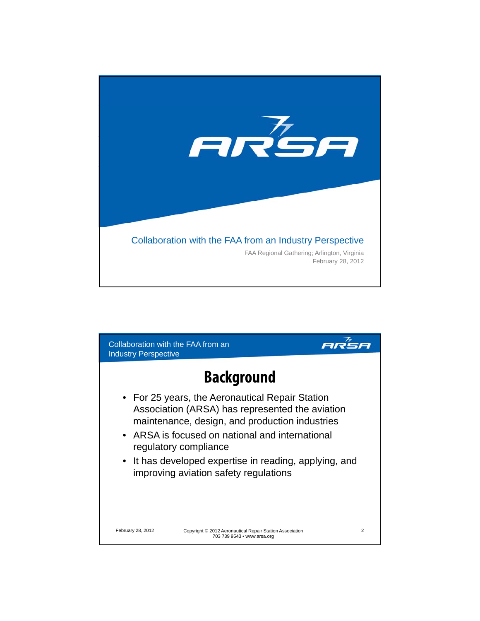

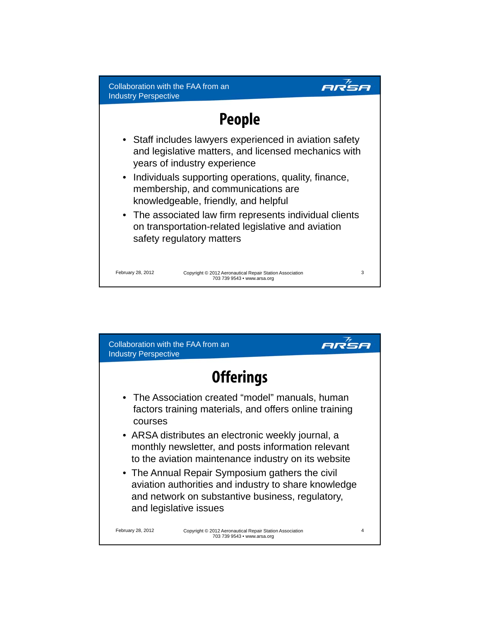## **People**

ar<sup>7</sup>sa

- Staff includes lawyers experienced in aviation safety and legislative matters, and licensed mechanics with years of industry experience
- Individuals supporting operations, quality, finance, membership, and communications are knowledgeable, friendly, and helpful
- The associated law firm represents individual clients on transportation-related legislative and aviation safety regulatory matters

February 28, 2012 3 Copyright © 2012 Aeronautical Repair Station Association 703 739 9543 • www.arsa.org

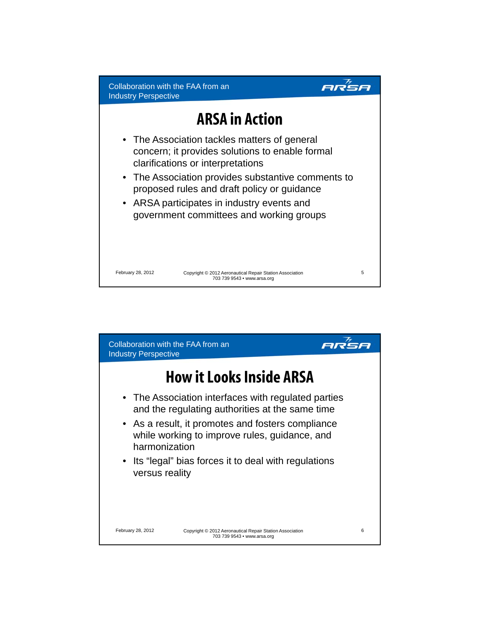

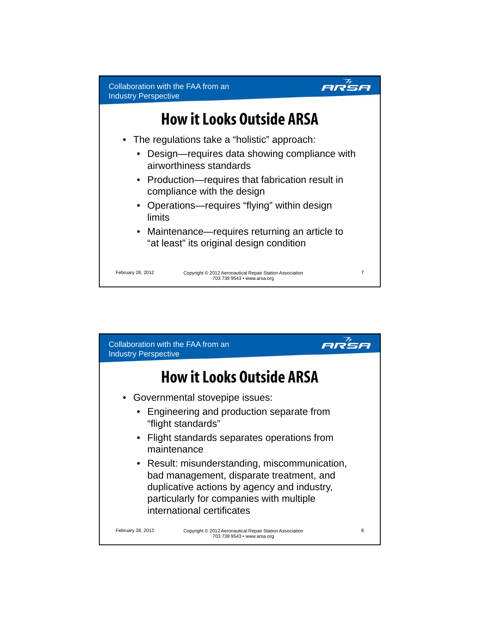

- Operations—requires "flying" within design limits
- Maintenance—requires returning an article to "at least" its original design condition

February 28, 2012 7 Copyright © 2012 Aeronautical Repair Station Association 703 739 9543 • www.arsa.org

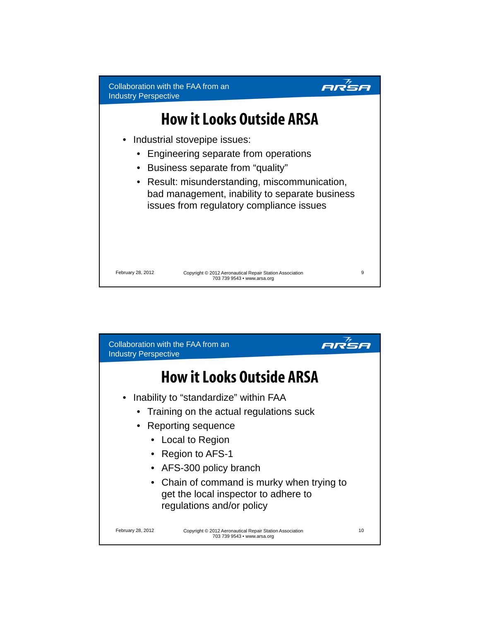

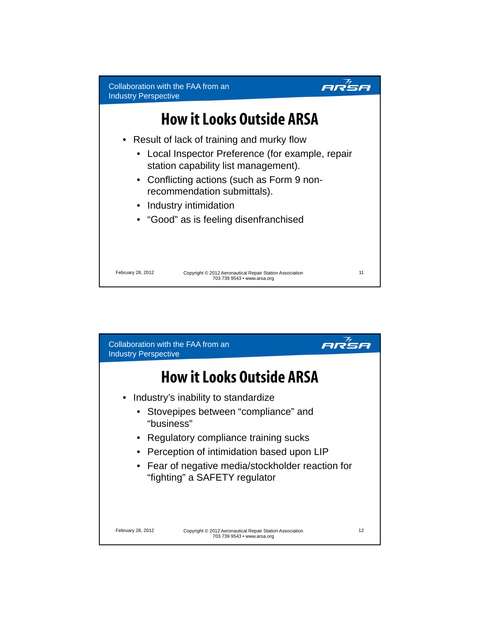

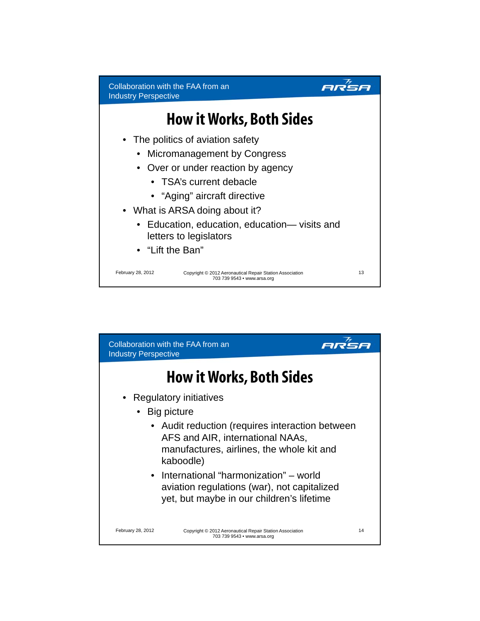

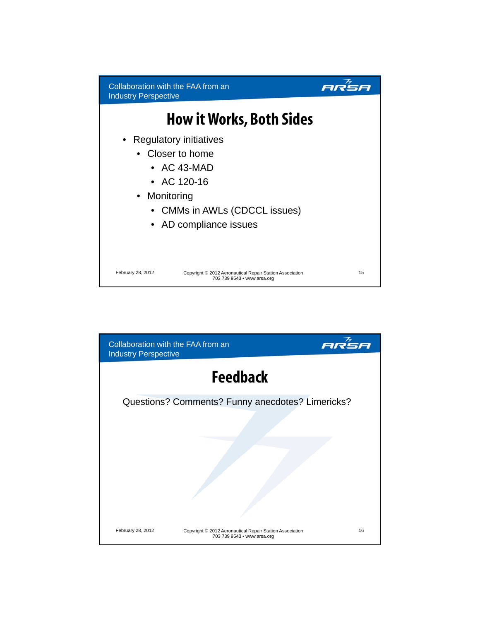